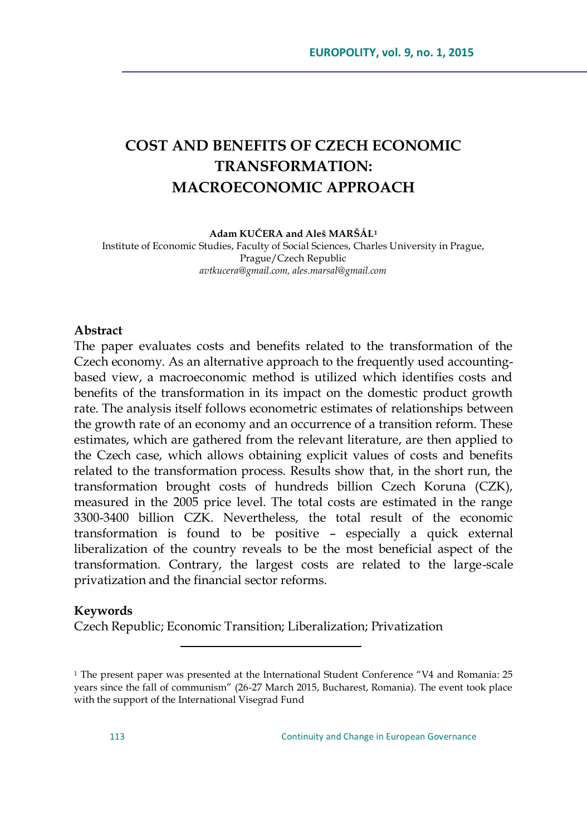# **COST AND BENEFITS OF CZECH ECONOMIC TRANSFORMATION: MACROECONOMIC APPROACH**

#### **Adam KUČERA and Aleš MARŠÁL<sup>1</sup>**

Institute of Economic Studies, Faculty of Social Sciences, Charles University in Prague, Prague/Czech Republic *avtkucera@gmail.com, ales.marsal@gmail.com*

#### **Abstract**

The paper evaluates costs and benefits related to the transformation of the Czech economy. As an alternative approach to the frequently used accountingbased view, a macroeconomic method is utilized which identifies costs and benefits of the transformation in its impact on the domestic product growth rate. The analysis itself follows econometric estimates of relationships between the growth rate of an economy and an occurrence of a transition reform. These estimates, which are gathered from the relevant literature, are then applied to the Czech case, which allows obtaining explicit values of costs and benefits related to the transformation process. Results show that, in the short run, the transformation brought costs of hundreds billion Czech Koruna (CZK), measured in the 2005 price level. The total costs are estimated in the range 3300-3400 billion CZK. Nevertheless, the total result of the economic transformation is found to be positive – especially a quick external liberalization of the country reveals to be the most beneficial aspect of the transformation. Contrary, the largest costs are related to the large-scale privatization and the financial sector reforms.

#### **Keywords**

Czech Republic; Economic Transition; Liberalization; Privatization

 $\overline{a}$ 

 $1$  The present paper was presented at the International Student Conference "V4 and Romania: 25 years since the fall of communism" (26-27 March 2015, Bucharest, Romania). The event took place with the support of the International Visegrad Fund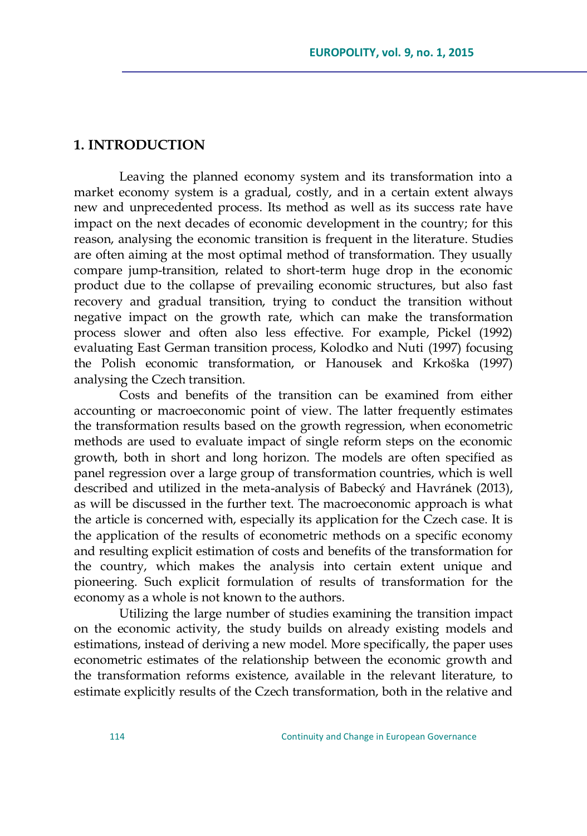## **1. INTRODUCTION**

Leaving the planned economy system and its transformation into a market economy system is a gradual, costly, and in a certain extent always new and unprecedented process. Its method as well as its success rate have impact on the next decades of economic development in the country; for this reason, analysing the economic transition is frequent in the literature. Studies are often aiming at the most optimal method of transformation. They usually compare jump-transition, related to short-term huge drop in the economic product due to the collapse of prevailing economic structures, but also fast recovery and gradual transition, trying to conduct the transition without negative impact on the growth rate, which can make the transformation process slower and often also less effective. For example, Pickel (1992) evaluating East German transition process, Kolodko and Nuti (1997) focusing the Polish economic transformation, or Hanousek and Krkoška (1997) analysing the Czech transition.

Costs and benefits of the transition can be examined from either accounting or macroeconomic point of view. The latter frequently estimates the transformation results based on the growth regression, when econometric methods are used to evaluate impact of single reform steps on the economic growth, both in short and long horizon. The models are often specified as panel regression over a large group of transformation countries, which is well described and utilized in the meta-analysis of Babecký and Havránek (2013), as will be discussed in the further text. The macroeconomic approach is what the article is concerned with, especially its application for the Czech case. It is the application of the results of econometric methods on a specific economy and resulting explicit estimation of costs and benefits of the transformation for the country, which makes the analysis into certain extent unique and pioneering. Such explicit formulation of results of transformation for the economy as a whole is not known to the authors.

Utilizing the large number of studies examining the transition impact on the economic activity, the study builds on already existing models and estimations, instead of deriving a new model. More specifically, the paper uses econometric estimates of the relationship between the economic growth and the transformation reforms existence, available in the relevant literature, to estimate explicitly results of the Czech transformation, both in the relative and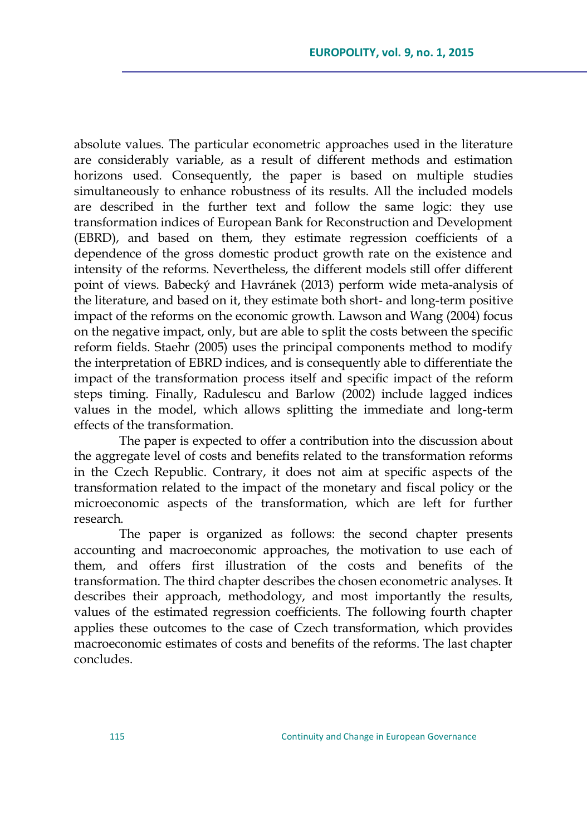absolute values. The particular econometric approaches used in the literature are considerably variable, as a result of different methods and estimation horizons used. Consequently, the paper is based on multiple studies simultaneously to enhance robustness of its results. All the included models are described in the further text and follow the same logic: they use transformation indices of European Bank for Reconstruction and Development (EBRD), and based on them, they estimate regression coefficients of a dependence of the gross domestic product growth rate on the existence and intensity of the reforms. Nevertheless, the different models still offer different point of views. Babecký and Havránek (2013) perform wide meta-analysis of the literature, and based on it, they estimate both short- and long-term positive impact of the reforms on the economic growth. Lawson and Wang (2004) focus on the negative impact, only, but are able to split the costs between the specific reform fields. Staehr (2005) uses the principal components method to modify the interpretation of EBRD indices, and is consequently able to differentiate the impact of the transformation process itself and specific impact of the reform steps timing. Finally, Radulescu and Barlow (2002) include lagged indices values in the model, which allows splitting the immediate and long-term effects of the transformation.

The paper is expected to offer a contribution into the discussion about the aggregate level of costs and benefits related to the transformation reforms in the Czech Republic. Contrary, it does not aim at specific aspects of the transformation related to the impact of the monetary and fiscal policy or the microeconomic aspects of the transformation, which are left for further research.

The paper is organized as follows: the second chapter presents accounting and macroeconomic approaches, the motivation to use each of them, and offers first illustration of the costs and benefits of the transformation. The third chapter describes the chosen econometric analyses. It describes their approach, methodology, and most importantly the results, values of the estimated regression coefficients. The following fourth chapter applies these outcomes to the case of Czech transformation, which provides macroeconomic estimates of costs and benefits of the reforms. The last chapter concludes.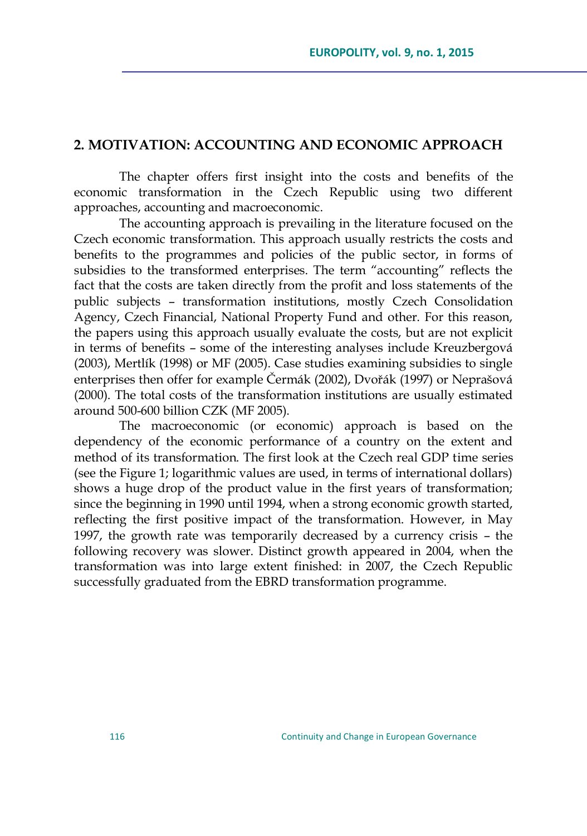## **2. MOTIVATION: ACCOUNTING AND ECONOMIC APPROACH**

The chapter offers first insight into the costs and benefits of the economic transformation in the Czech Republic using two different approaches, accounting and macroeconomic.

The accounting approach is prevailing in the literature focused on the Czech economic transformation. This approach usually restricts the costs and benefits to the programmes and policies of the public sector, in forms of subsidies to the transformed enterprises. The term "accounting" reflects the fact that the costs are taken directly from the profit and loss statements of the public subjects – transformation institutions, mostly Czech Consolidation Agency, Czech Financial, National Property Fund and other. For this reason, the papers using this approach usually evaluate the costs, but are not explicit in terms of benefits – some of the interesting analyses include Kreuzbergová (2003), Mertlík (1998) or MF (2005). Case studies examining subsidies to single enterprises then offer for example Čermák (2002), Dvořák (1997) or Neprašová (2000). The total costs of the transformation institutions are usually estimated around 500-600 billion CZK (MF 2005).

The macroeconomic (or economic) approach is based on the dependency of the economic performance of a country on the extent and method of its transformation. The first look at the Czech real GDP time series (see the Figure 1; logarithmic values are used, in terms of international dollars) shows a huge drop of the product value in the first years of transformation; since the beginning in 1990 until 1994, when a strong economic growth started, reflecting the first positive impact of the transformation. However, in May 1997, the growth rate was temporarily decreased by a currency crisis – the following recovery was slower. Distinct growth appeared in 2004, when the transformation was into large extent finished: in 2007, the Czech Republic successfully graduated from the EBRD transformation programme.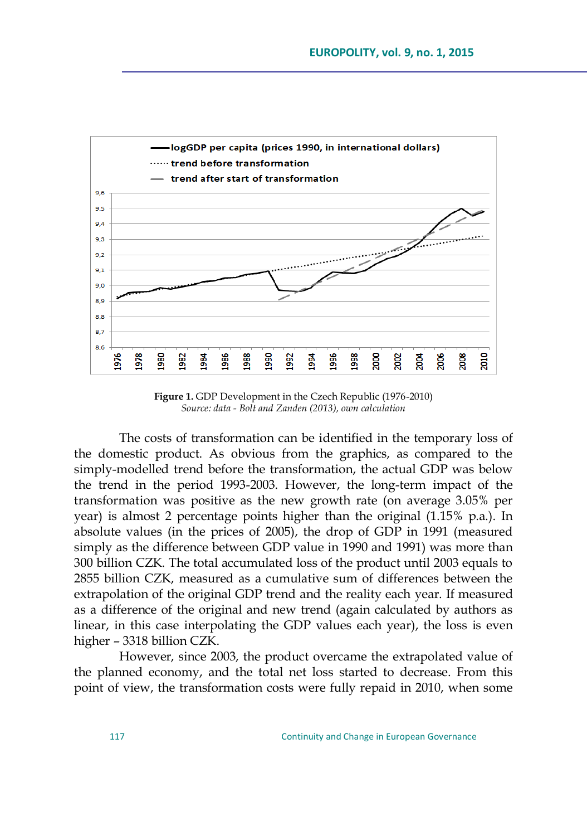

**Figure 1.** GDP Development in the Czech Republic (1976-2010) *Source: data - Bolt and Zanden (2013), own calculation*

The costs of transformation can be identified in the temporary loss of the domestic product. As obvious from the graphics, as compared to the simply-modelled trend before the transformation, the actual GDP was below the trend in the period 1993-2003. However, the long-term impact of the transformation was positive as the new growth rate (on average 3.05% per year) is almost 2 percentage points higher than the original (1.15% p.a.). In absolute values (in the prices of 2005), the drop of GDP in 1991 (measured simply as the difference between GDP value in 1990 and 1991) was more than 300 billion CZK. The total accumulated loss of the product until 2003 equals to 2855 billion CZK, measured as a cumulative sum of differences between the extrapolation of the original GDP trend and the reality each year. If measured as a difference of the original and new trend (again calculated by authors as linear, in this case interpolating the GDP values each year), the loss is even higher – 3318 billion CZK.

However, since 2003, the product overcame the extrapolated value of the planned economy, and the total net loss started to decrease. From this point of view, the transformation costs were fully repaid in 2010, when some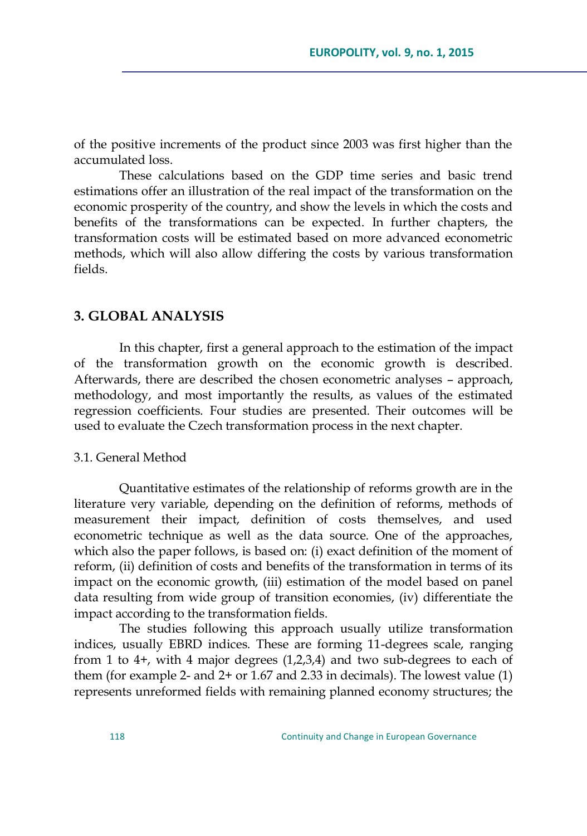of the positive increments of the product since 2003 was first higher than the accumulated loss.

These calculations based on the GDP time series and basic trend estimations offer an illustration of the real impact of the transformation on the economic prosperity of the country, and show the levels in which the costs and benefits of the transformations can be expected. In further chapters, the transformation costs will be estimated based on more advanced econometric methods, which will also allow differing the costs by various transformation fields.

## **3. GLOBAL ANALYSIS**

In this chapter, first a general approach to the estimation of the impact of the transformation growth on the economic growth is described. Afterwards, there are described the chosen econometric analyses – approach, methodology, and most importantly the results, as values of the estimated regression coefficients. Four studies are presented. Their outcomes will be used to evaluate the Czech transformation process in the next chapter.

#### 3.1. General Method

Quantitative estimates of the relationship of reforms growth are in the literature very variable, depending on the definition of reforms, methods of measurement their impact, definition of costs themselves, and used econometric technique as well as the data source. One of the approaches, which also the paper follows, is based on: (i) exact definition of the moment of reform, (ii) definition of costs and benefits of the transformation in terms of its impact on the economic growth, (iii) estimation of the model based on panel data resulting from wide group of transition economies, (iv) differentiate the impact according to the transformation fields.

The studies following this approach usually utilize transformation indices, usually EBRD indices. These are forming 11-degrees scale, ranging from 1 to 4+, with 4 major degrees  $(1,2,3,4)$  and two sub-degrees to each of them (for example 2- and 2+ or 1.67 and 2.33 in decimals). The lowest value (1) represents unreformed fields with remaining planned economy structures; the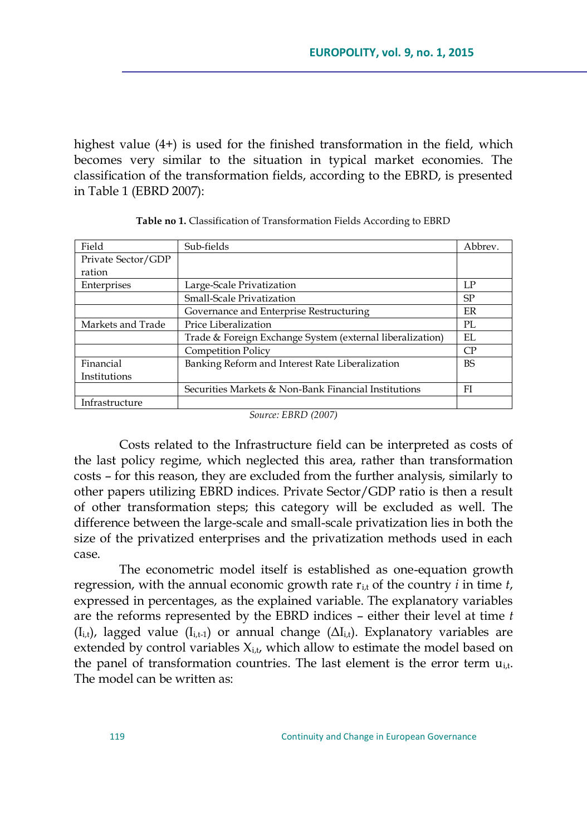highest value (4+) is used for the finished transformation in the field, which becomes very similar to the situation in typical market economies. The classification of the transformation fields, according to the EBRD, is presented in Table 1 (EBRD 2007):

| Field              | Sub-fields                                                | Abbrev.   |
|--------------------|-----------------------------------------------------------|-----------|
| Private Sector/GDP |                                                           |           |
| ration             |                                                           |           |
| Enterprises        | Large-Scale Privatization                                 | LP        |
|                    | Small-Scale Privatization                                 | <b>SP</b> |
|                    | Governance and Enterprise Restructuring                   | <b>FR</b> |
| Markets and Trade  | Price Liberalization                                      | PL.       |
|                    | Trade & Foreign Exchange System (external liberalization) | EL.       |
|                    | <b>Competition Policy</b>                                 | СP        |
| Financial          | Banking Reform and Interest Rate Liberalization           | <b>BS</b> |
| Institutions       |                                                           |           |
|                    | Securities Markets & Non-Bank Financial Institutions      | FI        |
| Infrastructure     |                                                           |           |

| Table no 1. Classification of Transformation Fields According to EBRD |  |
|-----------------------------------------------------------------------|--|
|-----------------------------------------------------------------------|--|

*Source: EBRD (2007)*

Costs related to the Infrastructure field can be interpreted as costs of the last policy regime, which neglected this area, rather than transformation costs – for this reason, they are excluded from the further analysis, similarly to other papers utilizing EBRD indices. Private Sector/GDP ratio is then a result of other transformation steps; this category will be excluded as well. The difference between the large-scale and small-scale privatization lies in both the size of the privatized enterprises and the privatization methods used in each case.

The econometric model itself is established as one-equation growth regression, with the annual economic growth rate  $r_{i,t}$  of the country  $i$  in time  $t$ , expressed in percentages, as the explained variable. The explanatory variables are the reforms represented by the EBRD indices – either their level at time *t*  $(I_{i,t})$ , lagged value  $(I_{i,t-1})$  or annual change  $(\Delta I_{i,t})$ . Explanatory variables are extended by control variables  $X_{i,t}$ , which allow to estimate the model based on the panel of transformation countries. The last element is the error term  $u_{i,t}$ . The model can be written as: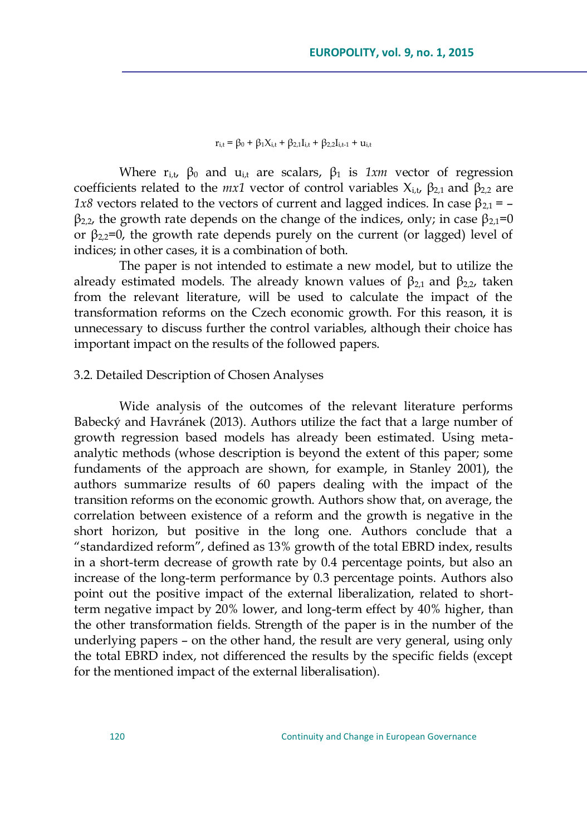$r_{i,t} = \beta_0 + \beta_1 X_{i,t} + \beta_{2,1} I_{i,t} + \beta_{2,2} I_{i,t-1} + u_{i,t}$ 

Where  $r_{i,t}$ ,  $\beta_0$  and  $u_{i,t}$  are scalars,  $\beta_1$  is  $1xm$  vector of regression coefficients related to the  $mx1$  vector of control variables  $X_{i,t}$ ,  $\beta_{2,1}$  and  $\beta_{2,2}$  are *1x8* vectors related to the vectors of current and lagged indices. In case  $β_{2,1} =$  $β<sub>2,2</sub>$ , the growth rate depends on the change of the indices, only; in case  $β<sub>2,1</sub>=0$ or  $\beta_{2,2}=0$ , the growth rate depends purely on the current (or lagged) level of indices; in other cases, it is a combination of both.

The paper is not intended to estimate a new model, but to utilize the already estimated models. The already known values of  $\beta_{2,1}$  and  $\beta_{2,2}$ , taken from the relevant literature, will be used to calculate the impact of the transformation reforms on the Czech economic growth. For this reason, it is unnecessary to discuss further the control variables, although their choice has important impact on the results of the followed papers.

#### 3.2. Detailed Description of Chosen Analyses

Wide analysis of the outcomes of the relevant literature performs Babecký and Havránek (2013). Authors utilize the fact that a large number of growth regression based models has already been estimated. Using metaanalytic methods (whose description is beyond the extent of this paper; some fundaments of the approach are shown, for example, in Stanley 2001), the authors summarize results of 60 papers dealing with the impact of the transition reforms on the economic growth. Authors show that, on average, the correlation between existence of a reform and the growth is negative in the short horizon, but positive in the long one. Authors conclude that a "standardized reform", defined as 13% growth of the total EBRD index, results in a short-term decrease of growth rate by 0.4 percentage points, but also an increase of the long-term performance by 0.3 percentage points. Authors also point out the positive impact of the external liberalization, related to shortterm negative impact by 20% lower, and long-term effect by 40% higher, than the other transformation fields. Strength of the paper is in the number of the underlying papers – on the other hand, the result are very general, using only the total EBRD index, not differenced the results by the specific fields (except for the mentioned impact of the external liberalisation).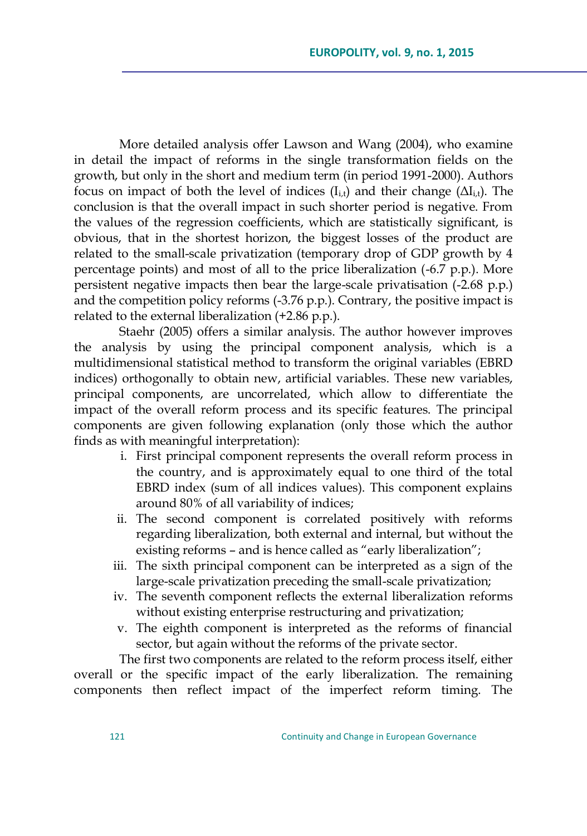More detailed analysis offer Lawson and Wang (2004), who examine in detail the impact of reforms in the single transformation fields on the growth, but only in the short and medium term (in period 1991-2000). Authors focus on impact of both the level of indices  $(I_{i,t})$  and their change  $(\Delta I_{i,t})$ . The conclusion is that the overall impact in such shorter period is negative. From the values of the regression coefficients, which are statistically significant, is obvious, that in the shortest horizon, the biggest losses of the product are related to the small-scale privatization (temporary drop of GDP growth by 4 percentage points) and most of all to the price liberalization (-6.7 p.p.). More persistent negative impacts then bear the large-scale privatisation (-2.68 p.p.) and the competition policy reforms (-3.76 p.p.). Contrary, the positive impact is related to the external liberalization (+2.86 p.p.).

Staehr (2005) offers a similar analysis. The author however improves the analysis by using the principal component analysis, which is a multidimensional statistical method to transform the original variables (EBRD indices) orthogonally to obtain new, artificial variables. These new variables, principal components, are uncorrelated, which allow to differentiate the impact of the overall reform process and its specific features. The principal components are given following explanation (only those which the author finds as with meaningful interpretation):

- i. First principal component represents the overall reform process in the country, and is approximately equal to one third of the total EBRD index (sum of all indices values). This component explains around 80% of all variability of indices;
- ii. The second component is correlated positively with reforms regarding liberalization, both external and internal, but without the existing reforms - and is hence called as "early liberalization";
- iii. The sixth principal component can be interpreted as a sign of the large-scale privatization preceding the small-scale privatization;
- iv. The seventh component reflects the external liberalization reforms without existing enterprise restructuring and privatization;
- v. The eighth component is interpreted as the reforms of financial sector, but again without the reforms of the private sector.

The first two components are related to the reform process itself, either overall or the specific impact of the early liberalization. The remaining components then reflect impact of the imperfect reform timing. The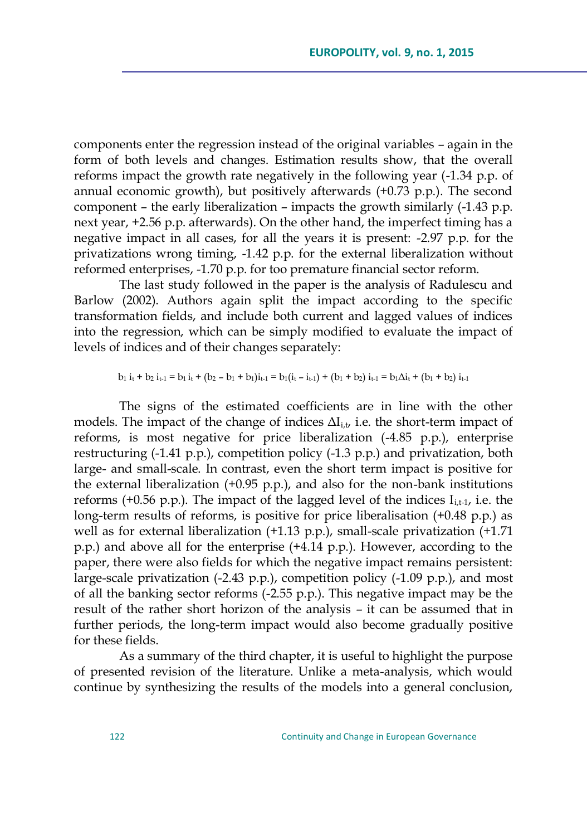components enter the regression instead of the original variables – again in the form of both levels and changes. Estimation results show, that the overall reforms impact the growth rate negatively in the following year (-1.34 p.p. of annual economic growth), but positively afterwards (+0.73 p.p.). The second component – the early liberalization – impacts the growth similarly (-1.43 p.p. next year, +2.56 p.p. afterwards). On the other hand, the imperfect timing has a negative impact in all cases, for all the years it is present: -2.97 p.p. for the privatizations wrong timing, -1.42 p.p. for the external liberalization without reformed enterprises, -1.70 p.p. for too premature financial sector reform.

The last study followed in the paper is the analysis of Radulescu and Barlow (2002). Authors again split the impact according to the specific transformation fields, and include both current and lagged values of indices into the regression, which can be simply modified to evaluate the impact of levels of indices and of their changes separately:

$$
b_1 i_1 + b_2 i_{t-1} = b_1 i_1 + (b_2 - b_1 + b_1)i_{t-1} = b_1(i_1 - i_{t-1}) + (b_1 + b_2) i_{t-1} = b_1 \Delta i_1 + (b_1 + b_2) i_{t-1}
$$

The signs of the estimated coefficients are in line with the other models. The impact of the change of indices  $\Delta I_{i,t}$ , i.e. the short-term impact of reforms, is most negative for price liberalization (-4.85 p.p.), enterprise restructuring (-1.41 p.p.), competition policy (-1.3 p.p.) and privatization, both large- and small-scale. In contrast, even the short term impact is positive for the external liberalization (+0.95 p.p.), and also for the non-bank institutions reforms (+0.56 p.p.). The impact of the lagged level of the indices  $I_{i,t-1}$ , i.e. the long-term results of reforms, is positive for price liberalisation (+0.48 p.p.) as well as for external liberalization  $(+1.13 \text{ p.p.})$ , small-scale privatization  $(+1.71 \text{ p.p.})$ p.p.) and above all for the enterprise (+4.14 p.p.). However, according to the paper, there were also fields for which the negative impact remains persistent: large-scale privatization (-2.43 p.p.), competition policy (-1.09 p.p.), and most of all the banking sector reforms (-2.55 p.p.). This negative impact may be the result of the rather short horizon of the analysis – it can be assumed that in further periods, the long-term impact would also become gradually positive for these fields.

As a summary of the third chapter, it is useful to highlight the purpose of presented revision of the literature. Unlike a meta-analysis, which would continue by synthesizing the results of the models into a general conclusion,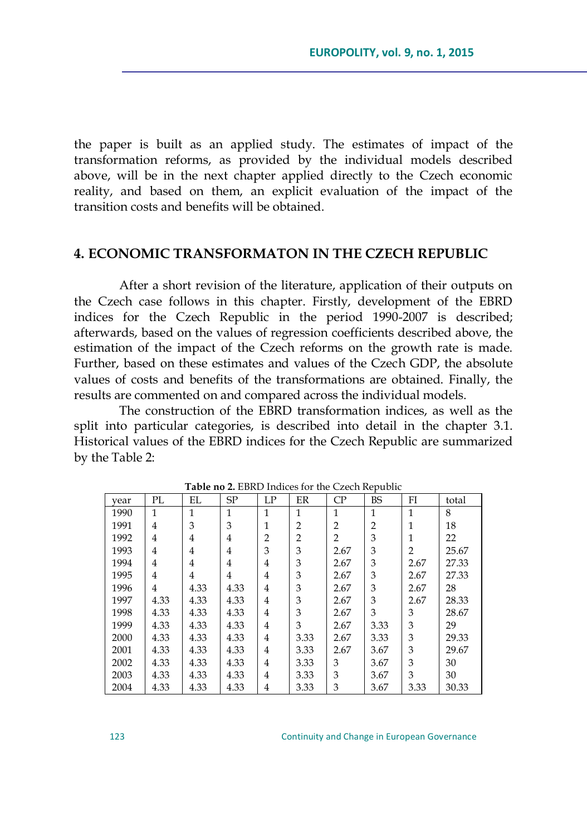the paper is built as an applied study. The estimates of impact of the transformation reforms, as provided by the individual models described above, will be in the next chapter applied directly to the Czech economic reality, and based on them, an explicit evaluation of the impact of the transition costs and benefits will be obtained.

# **4. ECONOMIC TRANSFORMATON IN THE CZECH REPUBLIC**

After a short revision of the literature, application of their outputs on the Czech case follows in this chapter. Firstly, development of the EBRD indices for the Czech Republic in the period 1990-2007 is described; afterwards, based on the values of regression coefficients described above, the estimation of the impact of the Czech reforms on the growth rate is made. Further, based on these estimates and values of the Czech GDP, the absolute values of costs and benefits of the transformations are obtained. Finally, the results are commented on and compared across the individual models.

The construction of the EBRD transformation indices, as well as the split into particular categories, is described into detail in the chapter 3.1. Historical values of the EBRD indices for the Czech Republic are summarized by the Table 2:

| vear | PL           | EL   | SP           | LP             | ER             | CP             | <b>BS</b>      | FI   | total |
|------|--------------|------|--------------|----------------|----------------|----------------|----------------|------|-------|
| 1990 | $\mathbf{1}$ | 1    | $\mathbf{1}$ | 1              | $\mathbf{1}$   | 1              | 1              | 1    | 8     |
| 1991 | 4            | 3    | 3            | 1              | 2              | $\overline{2}$ | $\overline{2}$ |      | 18    |
| 1992 | 4            | 4    | 4            | $\overline{2}$ | $\overline{2}$ | $\overline{2}$ | 3              |      | 22    |
| 1993 | 4            | 4    | 4            | 3              | 3              | 2.67           | 3              | 2    | 25.67 |
| 1994 | 4            | 4    | 4            | 4              | 3              | 2.67           | 3              | 2.67 | 27.33 |
| 1995 | 4            | 4    | 4            | 4              | 3              | 2.67           | 3              | 2.67 | 27.33 |
| 1996 | 4            | 4.33 | 4.33         | 4              | 3              | 2.67           | 3              | 2.67 | 28    |
| 1997 | 4.33         | 4.33 | 4.33         | 4              | 3              | 2.67           | 3              | 2.67 | 28.33 |
| 1998 | 4.33         | 4.33 | 4.33         | $\overline{4}$ | 3              | 2.67           | 3              | 3    | 28.67 |
| 1999 | 4.33         | 4.33 | 4.33         | $\overline{4}$ | 3              | 2.67           | 3.33           | 3    | 29    |
| 2000 | 4.33         | 4.33 | 4.33         | 4              | 3.33           | 2.67           | 3.33           | 3    | 29.33 |
| 2001 | 4.33         | 4.33 | 4.33         | 4              | 3.33           | 2.67           | 3.67           | 3    | 29.67 |
| 2002 | 4.33         | 4.33 | 4.33         | 4              | 3.33           | 3              | 3.67           | 3    | 30    |
| 2003 | 4.33         | 4.33 | 4.33         | 4              | 3.33           | 3              | 3.67           | 3    | 30    |
| 2004 | 4.33         | 4.33 | 4.33         | 4              | 3.33           | 3              | 3.67           | 3.33 | 30.33 |

**Table no 2.** EBRD Indices for the Czech Republic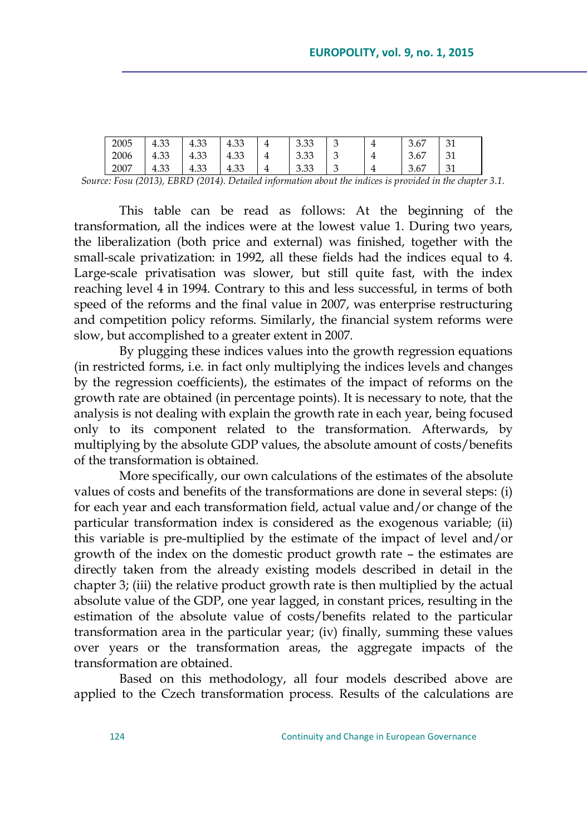| 2005                                      | $\cap$<br>4.JJ | $\cap$<br>≖.∪∪                                                                                                                                                                                                                                                                                                                                                                                                                                               | 3 <sup>2</sup><br>エコン | $\overline{4}$ | റ ററ<br>U.UU | ◡ | 3.67 | 31                              |
|-------------------------------------------|----------------|--------------------------------------------------------------------------------------------------------------------------------------------------------------------------------------------------------------------------------------------------------------------------------------------------------------------------------------------------------------------------------------------------------------------------------------------------------------|-----------------------|----------------|--------------|---|------|---------------------------------|
| 2006                                      | 4.33           | 1.22<br>4.33                                                                                                                                                                                                                                                                                                                                                                                                                                                 | 4.33                  | 4              | 3.33<br>J.JJ | ◡ | 3.67 | 31                              |
| 2007                                      | 4.33           | 4 ລ<br>4.33                                                                                                                                                                                                                                                                                                                                                                                                                                                  | 4.33                  |                | J.JJ         | ັ | 3.67 | 21<br>◡▴                        |
| <b>Service Contract Contract Contract</b> |                | $\mathcal{L} = \mathcal{L} = \mathcal{L} = \mathcal{L} = \mathcal{L} = \mathcal{L} = \mathcal{L} = \mathcal{L} = \mathcal{L} = \mathcal{L} = \mathcal{L} = \mathcal{L} = \mathcal{L} = \mathcal{L} = \mathcal{L} = \mathcal{L} = \mathcal{L} = \mathcal{L} = \mathcal{L} = \mathcal{L} = \mathcal{L} = \mathcal{L} = \mathcal{L} = \mathcal{L} = \mathcal{L} = \mathcal{L} = \mathcal{L} = \mathcal{L} = \mathcal{L} = \mathcal{L} = \mathcal{L} = \mathcal$ |                       |                | $\sim$       |   | .    | the contract of the contract of |

*Source: Fosu (2013), EBRD (2014). Detailed information about the indices is provided in the chapter 3.1.*

This table can be read as follows: At the beginning of the transformation, all the indices were at the lowest value 1. During two years, the liberalization (both price and external) was finished, together with the small-scale privatization: in 1992, all these fields had the indices equal to 4. Large-scale privatisation was slower, but still quite fast, with the index reaching level 4 in 1994. Contrary to this and less successful, in terms of both speed of the reforms and the final value in 2007, was enterprise restructuring and competition policy reforms. Similarly, the financial system reforms were slow, but accomplished to a greater extent in 2007.

By plugging these indices values into the growth regression equations (in restricted forms, i.e. in fact only multiplying the indices levels and changes by the regression coefficients), the estimates of the impact of reforms on the growth rate are obtained (in percentage points). It is necessary to note, that the analysis is not dealing with explain the growth rate in each year, being focused only to its component related to the transformation. Afterwards, by multiplying by the absolute GDP values, the absolute amount of costs/benefits of the transformation is obtained.

More specifically, our own calculations of the estimates of the absolute values of costs and benefits of the transformations are done in several steps: (i) for each year and each transformation field, actual value and/or change of the particular transformation index is considered as the exogenous variable; (ii) this variable is pre-multiplied by the estimate of the impact of level and/or growth of the index on the domestic product growth rate – the estimates are directly taken from the already existing models described in detail in the chapter 3; (iii) the relative product growth rate is then multiplied by the actual absolute value of the GDP, one year lagged, in constant prices, resulting in the estimation of the absolute value of costs/benefits related to the particular transformation area in the particular year; (iv) finally, summing these values over years or the transformation areas, the aggregate impacts of the transformation are obtained.

Based on this methodology, all four models described above are applied to the Czech transformation process. Results of the calculations are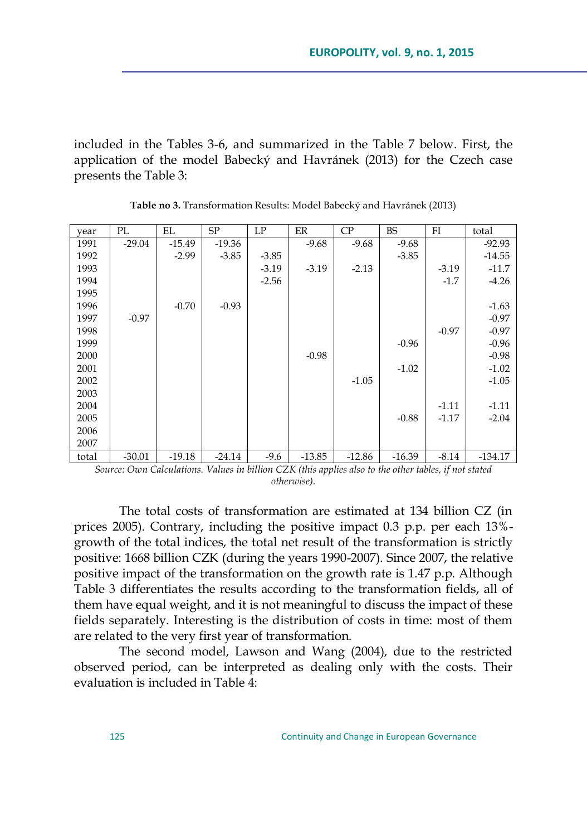included in the Tables 3-6, and summarized in the Table 7 below. First, the application of the model Babecký and Havránek (2013) for the Czech case presents the Table 3:

| vear  | PL       | EL       | SP       | LP      | ER       | CP       | <b>BS</b> | FI      | total     |
|-------|----------|----------|----------|---------|----------|----------|-----------|---------|-----------|
| 1991  | $-29.04$ | $-15.49$ | $-19.36$ |         | $-9.68$  | $-9.68$  | $-9.68$   |         | $-92.93$  |
| 1992  |          | $-2.99$  | $-3.85$  | $-3.85$ |          |          | $-3.85$   |         | $-14.55$  |
| 1993  |          |          |          | $-3.19$ | $-3.19$  | $-2.13$  |           | $-3.19$ | $-11.7$   |
| 1994  |          |          |          | $-2.56$ |          |          |           | $-1.7$  | $-4.26$   |
| 1995  |          |          |          |         |          |          |           |         |           |
| 1996  |          | $-0.70$  | $-0.93$  |         |          |          |           |         | $-1.63$   |
| 1997  | $-0.97$  |          |          |         |          |          |           |         | $-0.97$   |
| 1998  |          |          |          |         |          |          |           | $-0.97$ | $-0.97$   |
| 1999  |          |          |          |         |          |          | $-0.96$   |         | $-0.96$   |
| 2000  |          |          |          |         | $-0.98$  |          |           |         | $-0.98$   |
| 2001  |          |          |          |         |          |          | $-1.02$   |         | $-1.02$   |
| 2002  |          |          |          |         |          | $-1.05$  |           |         | $-1.05$   |
| 2003  |          |          |          |         |          |          |           |         |           |
| 2004  |          |          |          |         |          |          |           | $-1.11$ | $-1.11$   |
| 2005  |          |          |          |         |          |          | $-0.88$   | $-1.17$ | $-2.04$   |
| 2006  |          |          |          |         |          |          |           |         |           |
| 2007  |          |          |          |         |          |          |           |         |           |
| total | $-30.01$ | $-19.18$ | $-24.14$ | $-9.6$  | $-13.85$ | $-12.86$ | $-16.39$  | $-8.14$ | $-134.17$ |

**Table no 3.** Transformation Results: Model Babecký and Havránek (2013)

*Source: Own Calculations. Values in billion CZK (this applies also to the other tables, if not stated otherwise).*

The total costs of transformation are estimated at 134 billion CZ (in prices 2005). Contrary, including the positive impact 0.3 p.p. per each 13% growth of the total indices, the total net result of the transformation is strictly positive: 1668 billion CZK (during the years 1990-2007). Since 2007, the relative positive impact of the transformation on the growth rate is 1.47 p.p. Although Table 3 differentiates the results according to the transformation fields, all of them have equal weight, and it is not meaningful to discuss the impact of these fields separately. Interesting is the distribution of costs in time: most of them are related to the very first year of transformation.

The second model, Lawson and Wang (2004), due to the restricted observed period, can be interpreted as dealing only with the costs. Their evaluation is included in Table 4: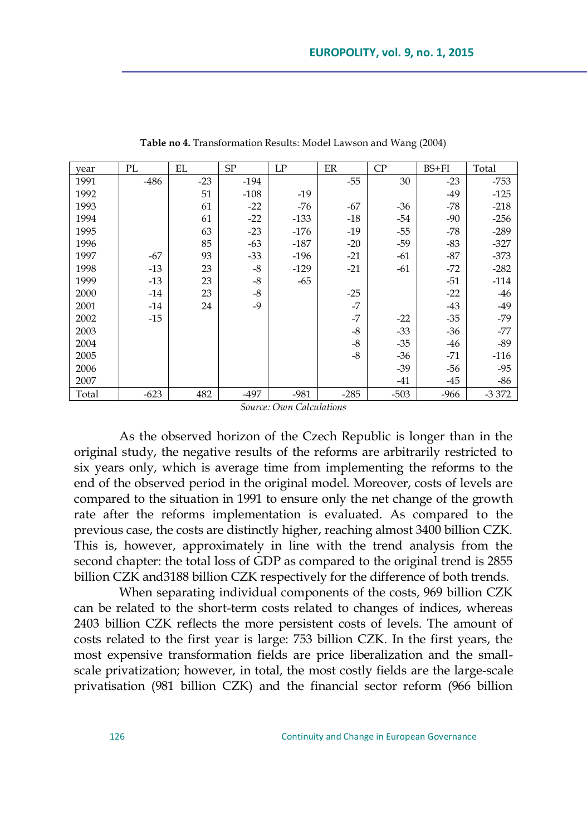| vear  | PL     | EL    | SP     | LP     | ER     | CP     | $BS + FI$ | Total   |
|-------|--------|-------|--------|--------|--------|--------|-----------|---------|
| 1991  | $-486$ | $-23$ | $-194$ |        | $-55$  | 30     | $-23$     | $-753$  |
| 1992  |        | 51    | $-108$ | -19    |        |        | $-49$     | $-125$  |
| 1993  |        | 61    | $-22$  | $-76$  | $-67$  | -36    | $-78$     | $-218$  |
| 1994  |        | 61    | $-22$  | $-133$ | $-18$  | $-54$  | $-90$     | $-256$  |
| 1995  |        | 63    | $-23$  | $-176$ | $-19$  | $-55$  | $-78$     | $-289$  |
| 1996  |        | 85    | $-63$  | $-187$ | $-20$  | $-59$  | $-83$     | $-327$  |
| 1997  | $-67$  | 93    | $-33$  | $-196$ | $-21$  | $-61$  | $-87$     | $-373$  |
| 1998  | $-13$  | 23    | $-8$   | $-129$ | $-21$  | $-61$  | $-72$     | $-282$  |
| 1999  | $-13$  | 23    | $-8$   | $-65$  |        |        | $-51$     | $-114$  |
| 2000  | $-14$  | 23    | $-8$   |        | $-25$  |        | $-22$     | $-46$   |
| 2001  | $-14$  | 24    | $-9$   |        | $-7$   |        | $-43$     | $-49$   |
| 2002  | $-15$  |       |        |        | $-7$   | $-22$  | $-35$     | $-79$   |
| 2003  |        |       |        |        | $-8$   | $-33$  | $-36$     | $-77$   |
| 2004  |        |       |        |        | $-8$   | $-35$  | -46       | $-89$   |
| 2005  |        |       |        |        | $-8$   | $-36$  | $-71$     | $-116$  |
| 2006  |        |       |        |        |        | $-39$  | -56       | $-95$   |
| 2007  |        |       |        |        |        | -41    | $-45$     | -86     |
| Total | $-623$ | 482   | $-497$ | $-981$ | $-285$ | $-503$ | -966      | $-3372$ |

**Table no 4.** Transformation Results: Model Lawson and Wang (2004)

*Source: Own Calculations*

As the observed horizon of the Czech Republic is longer than in the original study, the negative results of the reforms are arbitrarily restricted to six years only, which is average time from implementing the reforms to the end of the observed period in the original model. Moreover, costs of levels are compared to the situation in 1991 to ensure only the net change of the growth rate after the reforms implementation is evaluated. As compared to the previous case, the costs are distinctly higher, reaching almost 3400 billion CZK. This is, however, approximately in line with the trend analysis from the second chapter: the total loss of GDP as compared to the original trend is 2855 billion CZK and3188 billion CZK respectively for the difference of both trends.

When separating individual components of the costs, 969 billion CZK can be related to the short-term costs related to changes of indices, whereas 2403 billion CZK reflects the more persistent costs of levels. The amount of costs related to the first year is large: 753 billion CZK. In the first years, the most expensive transformation fields are price liberalization and the smallscale privatization; however, in total, the most costly fields are the large-scale privatisation (981 billion CZK) and the financial sector reform (966 billion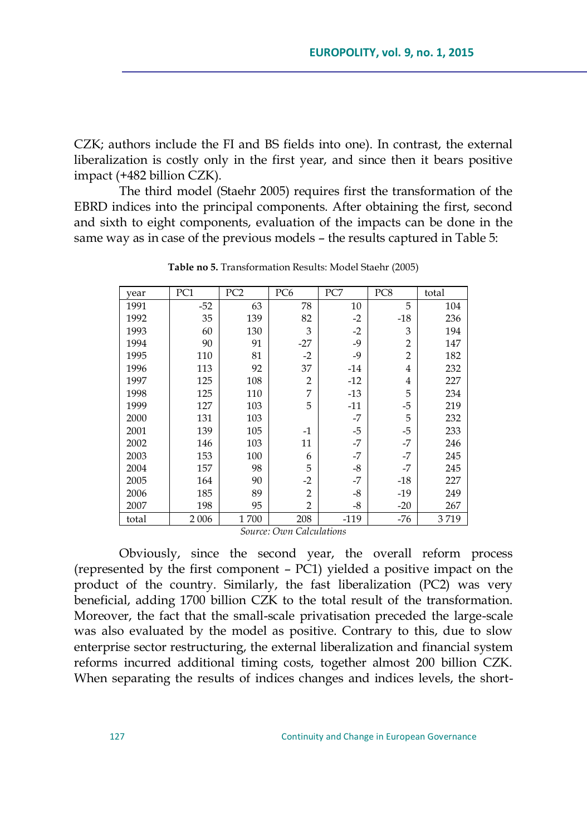CZK; authors include the FI and BS fields into one). In contrast, the external liberalization is costly only in the first year, and since then it bears positive impact (+482 billion CZK).

The third model (Staehr 2005) requires first the transformation of the EBRD indices into the principal components. After obtaining the first, second and sixth to eight components, evaluation of the impacts can be done in the same way as in case of the previous models – the results captured in Table 5:

| year  | PC1   | PC <sub>2</sub> | PC <sub>6</sub> | PC7    | PC8            | total |
|-------|-------|-----------------|-----------------|--------|----------------|-------|
| 1991  | $-52$ | 63              | 78              | 10     | 5              | 104   |
| 1992  | 35    | 139             | 82              | $-2$   | $-18$          | 236   |
| 1993  | 60    | 130             | 3               | $-2$   | 3              | 194   |
| 1994  | 90    | 91              | $-27$           | $-9$   | $\overline{2}$ | 147   |
| 1995  | 110   | 81              | $-2$            | $-9$   | $\overline{2}$ | 182   |
| 1996  | 113   | 92              | 37              | $-14$  | $\overline{4}$ | 232   |
| 1997  | 125   | 108             | $\overline{2}$  | $-12$  | $\overline{4}$ | 227   |
| 1998  | 125   | 110             | 7               | $-13$  | 5              | 234   |
| 1999  | 127   | 103             | 5               | $-11$  | $-5$           | 219   |
| 2000  | 131   | 103             |                 | $-7$   | 5              | 232   |
| 2001  | 139   | 105             | $-1$            | $-5$   | -5             | 233   |
| 2002  | 146   | 103             | 11              | $-7$   | $-7$           | 246   |
| 2003  | 153   | 100             | 6               | $-7$   | $-7$           | 245   |
| 2004  | 157   | 98              | 5               | -8     | $-7$           | 245   |
| 2005  | 164   | 90              | $-2$            | $-7$   | $-18$          | 227   |
| 2006  | 185   | 89              | $\overline{2}$  | $-8$   | $-19$          | 249   |
| 2007  | 198   | 95              | $\overline{2}$  | -8     | $-20$          | 267   |
| total | 2006  | 1700            | 208             | $-119$ | -76            | 3719  |

**Table no 5.** Transformation Results: Model Staehr (2005)

*Source: Own Calculations*

Obviously, since the second year, the overall reform process (represented by the first component – PC1) yielded a positive impact on the product of the country. Similarly, the fast liberalization (PC2) was very beneficial, adding 1700 billion CZK to the total result of the transformation. Moreover, the fact that the small-scale privatisation preceded the large-scale was also evaluated by the model as positive. Contrary to this, due to slow enterprise sector restructuring, the external liberalization and financial system reforms incurred additional timing costs, together almost 200 billion CZK. When separating the results of indices changes and indices levels, the short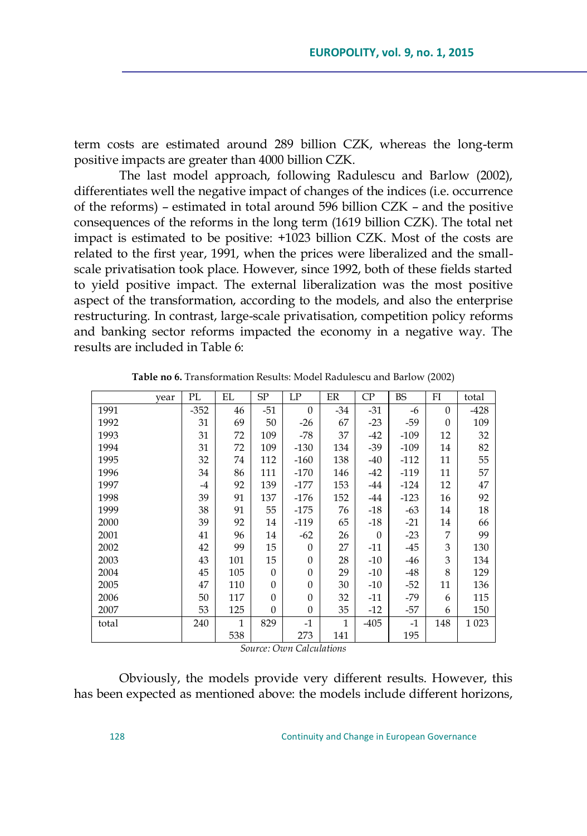term costs are estimated around 289 billion CZK, whereas the long-term positive impacts are greater than 4000 billion CZK.

The last model approach, following Radulescu and Barlow (2002), differentiates well the negative impact of changes of the indices (i.e. occurrence of the reforms) – estimated in total around 596 billion CZK – and the positive consequences of the reforms in the long term (1619 billion CZK). The total net impact is estimated to be positive: +1023 billion CZK. Most of the costs are related to the first year, 1991, when the prices were liberalized and the smallscale privatisation took place. However, since 1992, both of these fields started to yield positive impact. The external liberalization was the most positive aspect of the transformation, according to the models, and also the enterprise restructuring. In contrast, large-scale privatisation, competition policy reforms and banking sector reforms impacted the economy in a negative way. The results are included in Table 6:

| vear  | PL     | EL  | SP       | LP           | ER           | $\rm CP$ | <b>BS</b> | FI       | total  |
|-------|--------|-----|----------|--------------|--------------|----------|-----------|----------|--------|
| 1991  | $-352$ | 46  | $-51$    | $\theta$     | $-34$        | $-31$    | $-6$      | $\Omega$ | $-428$ |
| 1992  | 31     | 69  | 50       | -26          | 67           | $-23$    | $-59$     | $\theta$ | 109    |
| 1993  | 31     | 72  | 109      | -78          | 37           | $-42$    | $-109$    | 12       | 32     |
| 1994  | 31     | 72  | 109      | $-130$       | 134          | $-39$    | $-109$    | 14       | 82     |
| 1995  | 32     | 74  | 112      | $-160$       | 138          | $-40$    | $-112$    | 11       | 55     |
| 1996  | 34     | 86  | 111      | $-170$       | 146          | $-42$    | $-119$    | 11       | 57     |
| 1997  | $-4$   | 92  | 139      | $-177$       | 153          | $-44$    | $-124$    | 12       | 47     |
| 1998  | 39     | 91  | 137      | $-176$       | 152          | -44      | $-123$    | 16       | 92     |
| 1999  | 38     | 91  | 55       | $-175$       | 76           | $-18$    | $-63$     | 14       | 18     |
| 2000  | 39     | 92  | 14       | $-119$       | 65           | $-18$    | $-21$     | 14       | 66     |
| 2001  | 41     | 96  | 14       | $-62$        | 26           | $\Omega$ | $-23$     | 7        | 99     |
| 2002  | 42     | 99  | 15       | $\mathbf{0}$ | 27           | $-11$    | $-45$     | 3        | 130    |
| 2003  | 43     | 101 | 15       | $\mathbf{0}$ | 28           | $-10$    | $-46$     | 3        | 134    |
| 2004  | 45     | 105 | $\Omega$ | $\mathbf{0}$ | 29           | $-10$    | $-48$     | 8        | 129    |
| 2005  | 47     | 110 | $\Omega$ | $\mathbf{0}$ | 30           | $-10$    | $-52$     | 11       | 136    |
| 2006  | 50     | 117 | $\Omega$ | $\mathbf{0}$ | 32           | $-11$    | -79       | 6        | 115    |
| 2007  | 53     | 125 | $\Omega$ | $\mathbf{0}$ | 35           | $-12$    | $-57$     | 6        | 150    |
| total | 240    | 1   | 829      | $-1$         | $\mathbf{1}$ | $-405$   | $-1$      | 148      | 1 0 23 |
|       |        | 538 |          | 273          | 141          |          | 195       |          |        |

**Table no 6.** Transformation Results: Model Radulescu and Barlow (2002)

*Source: Own Calculations*

Obviously, the models provide very different results. However, this has been expected as mentioned above: the models include different horizons,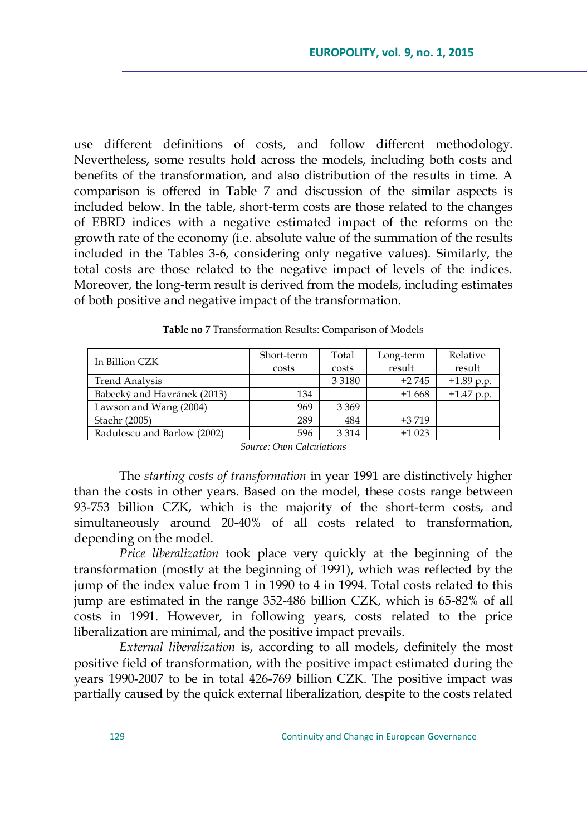use different definitions of costs, and follow different methodology. Nevertheless, some results hold across the models, including both costs and benefits of the transformation, and also distribution of the results in time. A comparison is offered in Table 7 and discussion of the similar aspects is included below. In the table, short-term costs are those related to the changes of EBRD indices with a negative estimated impact of the reforms on the growth rate of the economy (i.e. absolute value of the summation of the results included in the Tables 3-6, considering only negative values). Similarly, the total costs are those related to the negative impact of levels of the indices. Moreover, the long-term result is derived from the models, including estimates of both positive and negative impact of the transformation.

| In Billion CZK              | Short-term<br>costs | Total<br>costs | Long-term<br>result | Relative<br>result |
|-----------------------------|---------------------|----------------|---------------------|--------------------|
| <b>Trend Analysis</b>       |                     | 3 3 1 8 0      | $+2745$             | $+1.89$ p.p.       |
| Babecký and Havránek (2013) | 134                 |                | $+1668$             | $+1.47$ p.p.       |
| Lawson and Wang (2004)      | 969                 | 3 3 6 9        |                     |                    |
| Staehr (2005)               | 289                 | 484            | $+3719$             |                    |
| Radulescu and Barlow (2002) | 596                 | 3 3 1 4        | $+1023$             |                    |

**Table no 7** Transformation Results: Comparison of Models

*Source: Own Calculations*

The *starting costs of transformation* in year 1991 are distinctively higher than the costs in other years. Based on the model, these costs range between 93-753 billion CZK, which is the majority of the short-term costs, and simultaneously around 20-40% of all costs related to transformation, depending on the model.

*Price liberalization* took place very quickly at the beginning of the transformation (mostly at the beginning of 1991), which was reflected by the jump of the index value from 1 in 1990 to 4 in 1994. Total costs related to this jump are estimated in the range 352-486 billion CZK, which is 65-82% of all costs in 1991. However, in following years, costs related to the price liberalization are minimal, and the positive impact prevails.

*External liberalization* is, according to all models, definitely the most positive field of transformation, with the positive impact estimated during the years 1990-2007 to be in total 426-769 billion CZK. The positive impact was partially caused by the quick external liberalization, despite to the costs related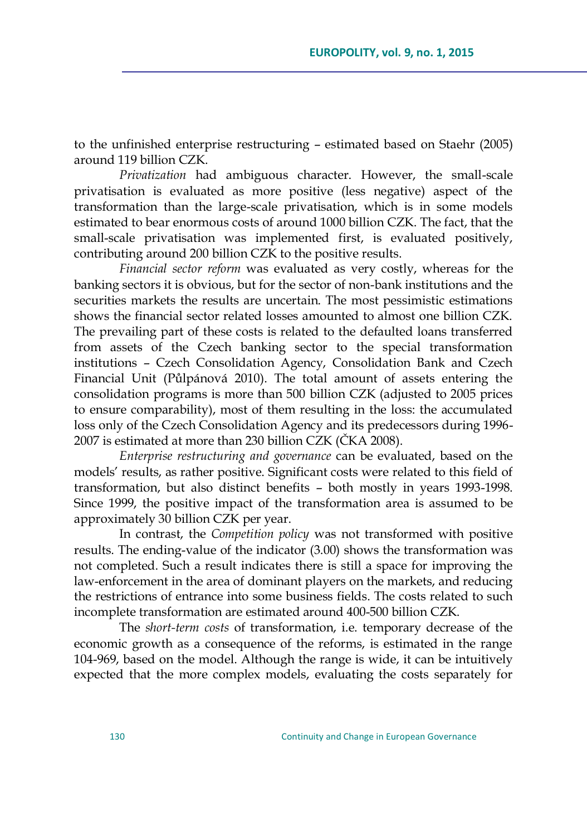to the unfinished enterprise restructuring – estimated based on Staehr (2005) around 119 billion CZK.

*Privatization* had ambiguous character. However, the small-scale privatisation is evaluated as more positive (less negative) aspect of the transformation than the large-scale privatisation, which is in some models estimated to bear enormous costs of around 1000 billion CZK. The fact, that the small-scale privatisation was implemented first, is evaluated positively, contributing around 200 billion CZK to the positive results.

*Financial sector reform* was evaluated as very costly, whereas for the banking sectors it is obvious, but for the sector of non-bank institutions and the securities markets the results are uncertain. The most pessimistic estimations shows the financial sector related losses amounted to almost one billion CZK. The prevailing part of these costs is related to the defaulted loans transferred from assets of the Czech banking sector to the special transformation institutions – Czech Consolidation Agency, Consolidation Bank and Czech Financial Unit (Půlpánová 2010). The total amount of assets entering the consolidation programs is more than 500 billion CZK (adjusted to 2005 prices to ensure comparability), most of them resulting in the loss: the accumulated loss only of the Czech Consolidation Agency and its predecessors during 1996- 2007 is estimated at more than 230 billion CZK (ČKA 2008).

*Enterprise restructuring and governance* can be evaluated, based on the models' results, as rather positive. Significant costs were related to this field of transformation, but also distinct benefits – both mostly in years 1993-1998. Since 1999, the positive impact of the transformation area is assumed to be approximately 30 billion CZK per year.

In contrast, the *Competition policy* was not transformed with positive results. The ending-value of the indicator (3.00) shows the transformation was not completed. Such a result indicates there is still a space for improving the law-enforcement in the area of dominant players on the markets, and reducing the restrictions of entrance into some business fields. The costs related to such incomplete transformation are estimated around 400-500 billion CZK.

The *short-term costs* of transformation, i.e. temporary decrease of the economic growth as a consequence of the reforms, is estimated in the range 104-969, based on the model. Although the range is wide, it can be intuitively expected that the more complex models, evaluating the costs separately for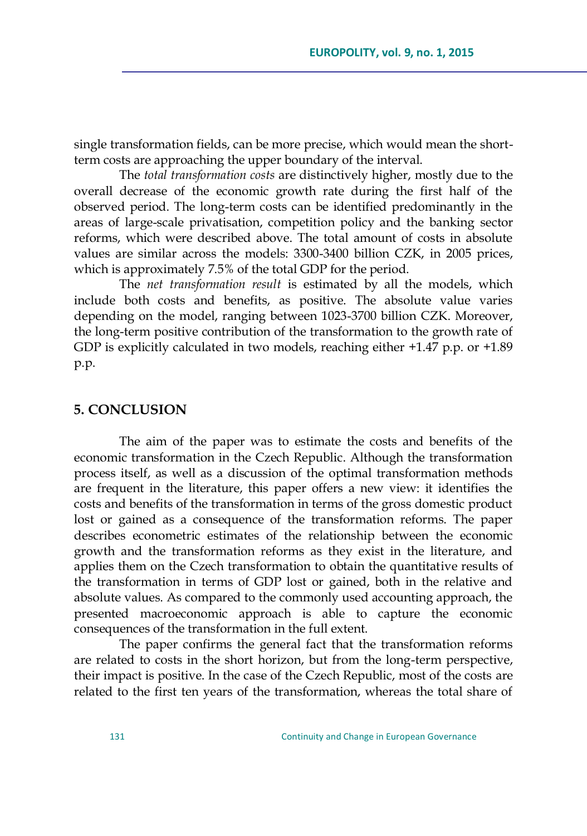single transformation fields, can be more precise, which would mean the shortterm costs are approaching the upper boundary of the interval.

The *total transformation costs* are distinctively higher, mostly due to the overall decrease of the economic growth rate during the first half of the observed period. The long-term costs can be identified predominantly in the areas of large-scale privatisation, competition policy and the banking sector reforms, which were described above. The total amount of costs in absolute values are similar across the models: 3300-3400 billion CZK, in 2005 prices, which is approximately 7.5% of the total GDP for the period.

The *net transformation result* is estimated by all the models, which include both costs and benefits, as positive. The absolute value varies depending on the model, ranging between 1023-3700 billion CZK. Moreover, the long-term positive contribution of the transformation to the growth rate of GDP is explicitly calculated in two models, reaching either +1.47 p.p. or +1.89 p.p.

#### **5. CONCLUSION**

The aim of the paper was to estimate the costs and benefits of the economic transformation in the Czech Republic. Although the transformation process itself, as well as a discussion of the optimal transformation methods are frequent in the literature, this paper offers a new view: it identifies the costs and benefits of the transformation in terms of the gross domestic product lost or gained as a consequence of the transformation reforms. The paper describes econometric estimates of the relationship between the economic growth and the transformation reforms as they exist in the literature, and applies them on the Czech transformation to obtain the quantitative results of the transformation in terms of GDP lost or gained, both in the relative and absolute values. As compared to the commonly used accounting approach, the presented macroeconomic approach is able to capture the economic consequences of the transformation in the full extent.

The paper confirms the general fact that the transformation reforms are related to costs in the short horizon, but from the long-term perspective, their impact is positive. In the case of the Czech Republic, most of the costs are related to the first ten years of the transformation, whereas the total share of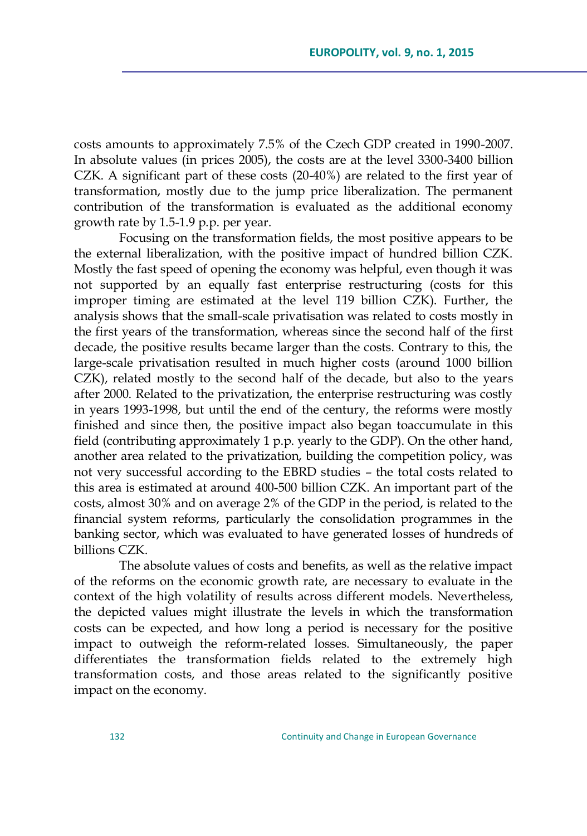costs amounts to approximately 7.5% of the Czech GDP created in 1990-2007. In absolute values (in prices 2005), the costs are at the level 3300-3400 billion CZK. A significant part of these costs (20-40%) are related to the first year of transformation, mostly due to the jump price liberalization. The permanent contribution of the transformation is evaluated as the additional economy growth rate by 1.5-1.9 p.p. per year.

Focusing on the transformation fields, the most positive appears to be the external liberalization, with the positive impact of hundred billion CZK. Mostly the fast speed of opening the economy was helpful, even though it was not supported by an equally fast enterprise restructuring (costs for this improper timing are estimated at the level 119 billion CZK). Further, the analysis shows that the small-scale privatisation was related to costs mostly in the first years of the transformation, whereas since the second half of the first decade, the positive results became larger than the costs. Contrary to this, the large-scale privatisation resulted in much higher costs (around 1000 billion CZK), related mostly to the second half of the decade, but also to the years after 2000. Related to the privatization, the enterprise restructuring was costly in years 1993-1998, but until the end of the century, the reforms were mostly finished and since then, the positive impact also began toaccumulate in this field (contributing approximately 1 p.p. yearly to the GDP). On the other hand, another area related to the privatization, building the competition policy, was not very successful according to the EBRD studies – the total costs related to this area is estimated at around 400-500 billion CZK. An important part of the costs, almost 30% and on average 2% of the GDP in the period, is related to the financial system reforms, particularly the consolidation programmes in the banking sector, which was evaluated to have generated losses of hundreds of billions CZK.

The absolute values of costs and benefits, as well as the relative impact of the reforms on the economic growth rate, are necessary to evaluate in the context of the high volatility of results across different models. Nevertheless, the depicted values might illustrate the levels in which the transformation costs can be expected, and how long a period is necessary for the positive impact to outweigh the reform-related losses. Simultaneously, the paper differentiates the transformation fields related to the extremely high transformation costs, and those areas related to the significantly positive impact on the economy.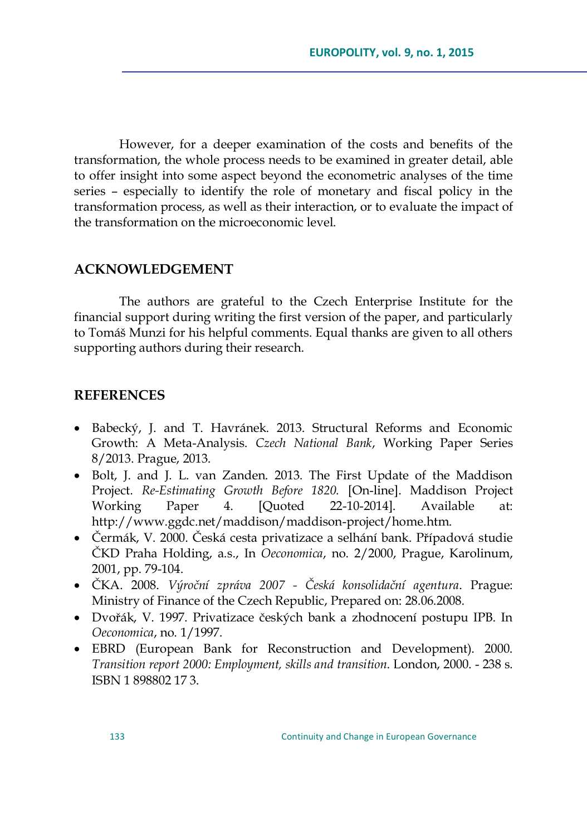However, for a deeper examination of the costs and benefits of the transformation, the whole process needs to be examined in greater detail, able to offer insight into some aspect beyond the econometric analyses of the time series – especially to identify the role of monetary and fiscal policy in the transformation process, as well as their interaction, or to evaluate the impact of the transformation on the microeconomic level.

## **ACKNOWLEDGEMENT**

The authors are grateful to the Czech Enterprise Institute for the financial support during writing the first version of the paper, and particularly to Tomáš Munzi for his helpful comments. Equal thanks are given to all others supporting authors during their research.

## **REFERENCES**

- Babecký, J. and T. Havránek. 2013. Structural Reforms and Economic Growth: A Meta-Analysis. *Czech National Bank*, Working Paper Series 8/2013. Prague, 2013.
- Bolt, J. and J. L. van Zanden. 2013. The First Update of the Maddison Project. *Re-Estimating Growth Before 1820.* [On-line]. Maddison Project Working Paper 4. [Quoted 22-10-2014]. Available at: http://www.ggdc.net/maddison/maddison-project/home.htm.
- Čermák, V. 2000. Česká cesta privatizace a selhání bank. Případová studie ŢKD Praha Holding, a.s., In *Oeconomica*, no. 2/2000, Prague, Karolinum, 2001, pp. 79-104.
- ŢKA. 2008. *Výroční zpráva 2007 - Česká konsolidační agentura*. Prague: Ministry of Finance of the Czech Republic, Prepared on: 28.06.2008.
- Dvořák, V. 1997. Privatizace českých bank a zhodnocení postupu IPB. In *Oeconomica*, no. 1/1997.
- EBRD (European Bank for Reconstruction and Development). 2000. *Transition report 2000: Employment, skills and transition*. London, 2000. - 238 s. ISBN 1 898802 17 3.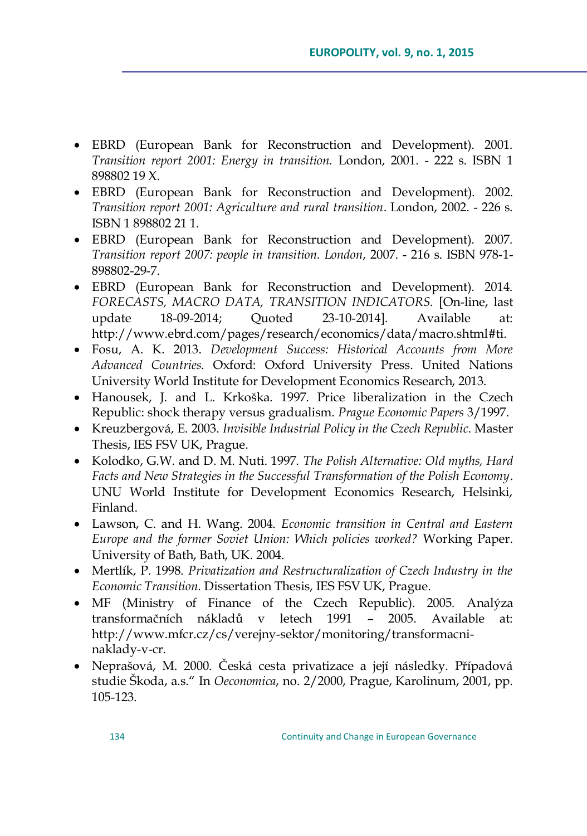- EBRD (European Bank for Reconstruction and Development). 2001. *Transition report 2001: Energy in transition.* London, 2001. - 222 s. ISBN 1 898802 19 X.
- EBRD (European Bank for Reconstruction and Development). 2002. *Transition report 2001: Agriculture and rural transition*. London, 2002. - 226 s. ISBN 1 898802 21 1.
- EBRD (European Bank for Reconstruction and Development). 2007. *Transition report 2007: people in transition. London*, 2007. - 216 s. ISBN 978-1- 898802-29-7.
- EBRD (European Bank for Reconstruction and Development). 2014. *FORECASTS, MACRO DATA, TRANSITION INDICATORS.* [On-line, last update 18-09-2014; Quoted 23-10-2014]. Available at: http://www.ebrd.com/pages/research/economics/data/macro.shtml#ti.
- Fosu, A. K. 2013. *Development Success: Historical Accounts from More Advanced Countries*. Oxford: Oxford University Press. United Nations University World Institute for Development Economics Research, 2013.
- Hanousek, J. and L. Krkoška. 1997. Price liberalization in the Czech Republic: shock therapy versus gradualism. *Prague Economic Papers* 3/1997.
- Kreuzbergová, E. 2003. *Invisible Industrial Policy in the Czech Republic*. Master Thesis, IES FSV UK, Prague.
- Kolodko, G.W. and D. M. Nuti. 1997. *The Polish Alternative: Old myths, Hard Facts and New Strategies in the Successful Transformation of the Polish Economy*. UNU World Institute for Development Economics Research, Helsinki, Finland.
- Lawson, C. and H. Wang. 2004. *Economic transition in Central and Eastern Europe and the former Soviet Union: Which policies worked?* Working Paper. University of Bath, Bath, UK. 2004.
- Mertlík, P. 1998. *Privatization and Restructuralization of Czech Industry in the Economic Transition.* Dissertation Thesis, IES FSV UK, Prague.
- MF (Ministry of Finance of the Czech Republic). 2005. Analýza transformačních nákladů v letech 1991 – 2005. Available at: http://www.mfcr.cz/cs/verejny-sektor/monitoring/transformacninaklady-v-cr.
- Neprašová, M. 2000. Česká cesta privatizace a její následky. Případová studie Škoda, a.s." In *Oeconomica*, no. 2/2000, Prague, Karolinum, 2001, pp. 105-123.